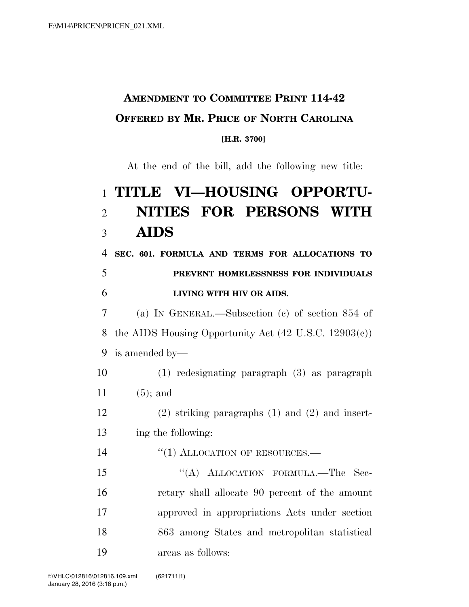## **AMENDMENT TO COMMITTEE PRINT 114-42 OFFERED BY MR. PRICE OF NORTH CAROLINA**

## **[H.R. 3700]**

At the end of the bill, add the following new title:

## **TITLE VI—HOUSING OPPORTU- NITIES FOR PERSONS WITH AIDS**

 **SEC. 601. FORMULA AND TERMS FOR ALLOCATIONS TO PREVENT HOMELESSNESS FOR INDIVIDUALS LIVING WITH HIV OR AIDS.** 

 (a) IN GENERAL.—Subsection (c) of section 854 of the AIDS Housing Opportunity Act (42 U.S.C. 12903(c)) is amended by—

 (1) redesignating paragraph (3) as paragraph (5); and

 (2) striking paragraphs (1) and (2) and insert-ing the following:

14 "(1) ALLOCATION OF RESOURCES.—

15 "(A) ALLOCATION FORMULA.—The Sec- retary shall allocate 90 percent of the amount approved in appropriations Acts under section 863 among States and metropolitan statistical areas as follows: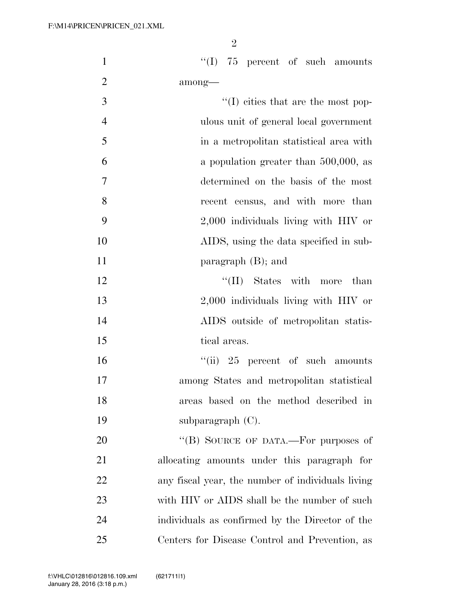$\mathfrak{D}$ 

1 ''(I) 75 percent of such amounts 2 among—

 $\frac{1}{2}$  (I) cities that are the most pop- ulous unit of general local government in a metropolitan statistical area with a population greater than 500,000, as determined on the basis of the most recent census, and with more than 2,000 individuals living with HIV or AIDS, using the data specified in sub-11 paragraph (B); and 12 ''(II) States with more than 2,000 individuals living with HIV or AIDS outside of metropolitan statis-15 tical areas.

16 ''(ii) 25 percent of such amounts among States and metropolitan statistical areas based on the method described in subparagraph (C).

20 "(B) SOURCE OF DATA.—For purposes of allocating amounts under this paragraph for any fiscal year, the number of individuals living 23 with HIV or AIDS shall be the number of such individuals as confirmed by the Director of the Centers for Disease Control and Prevention, as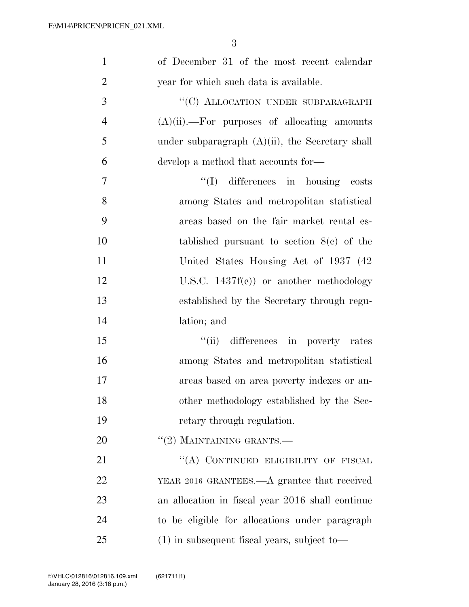| $\mathbf{1}$   | of December 31 of the most recent calendar         |
|----------------|----------------------------------------------------|
| $\overline{2}$ | year for which such data is available.             |
| 3              | "(C) ALLOCATION UNDER SUBPARAGRAPH                 |
| $\overline{4}$ | $(A)(ii)$ .—For purposes of allocating amounts     |
| 5              | under subparagraph $(A)(ii)$ , the Secretary shall |
| 6              | develop a method that accounts for—                |
| 7              | "(I) differences in housing costs                  |
| 8              | among States and metropolitan statistical          |
| 9              | areas based on the fair market rental es-          |
| 10             | tablished pursuant to section $8(e)$ of the        |
| 11             | United States Housing Act of 1937 (42)             |
| 12             | U.S.C. $1437f(c)$ or another methodology           |
| 13             | established by the Secretary through regu-         |
| 14             | lation; and                                        |
| 15             | "(ii) differences in poverty rates                 |
| 16             | among States and metropolitan statistical          |
| 17             | areas based on area poverty indexes or an-         |
| 18             | other methodology established by the Sec-          |
| 19             | retary through regulation.                         |
| 20             | $\lq(2)$ MAINTAINING GRANTS.—                      |
| 21             | "(A) CONTINUED ELIGIBILITY OF FISCAL               |
| 22             | YEAR 2016 GRANTEES.—A grantee that received        |
| 23             | an allocation in fiscal year 2016 shall continue   |
| 24             | to be eligible for allocations under paragraph     |
| 25             | $(1)$ in subsequent fiscal years, subject to —     |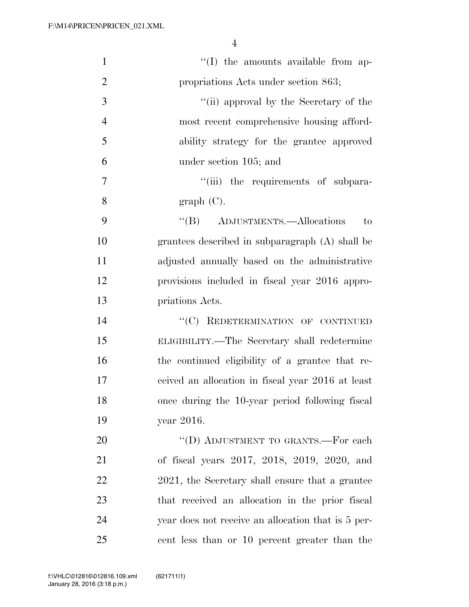| $\mathbf{1}$   | $\lq\lq$ (I) the amounts available from ap-        |
|----------------|----------------------------------------------------|
| $\overline{2}$ | propriations Acts under section 863;               |
| 3              | "(ii) approval by the Secretary of the             |
| $\overline{4}$ | most recent comprehensive housing afford-          |
| 5              | ability strategy for the grantee approved          |
| 6              | under section 105; and                             |
| $\tau$         | "(iii) the requirements of subpara-                |
| 8              | graph(C).                                          |
| 9              | "(B) ADJUSTMENTS.—Allocations<br>to                |
| 10             | grantees described in subparagraph (A) shall be    |
| 11             | adjusted annually based on the administrative      |
| 12             | provisions included in fiscal year 2016 appro-     |
| 13             | priations Acts.                                    |
| 14             | "(C) REDETERMINATION OF CONTINUED                  |
| 15             | ELIGIBILITY.—The Secretary shall redetermine       |
| 16             | the continued eligibility of a grantee that re-    |
| 17             | ceived an allocation in fiscal year 2016 at least  |
| 18             | once during the 10-year period following fiscal    |
| 19             | year 2016.                                         |
| 20             | "(D) ADJUSTMENT TO GRANTS.—For each                |
| 21             | of fiscal years 2017, 2018, 2019, 2020, and        |
| 22             | 2021, the Secretary shall ensure that a grantee    |
| 23             | that received an allocation in the prior fiscal    |
| 24             | year does not receive an allocation that is 5 per- |
| 25             | cent less than or 10 percent greater than the      |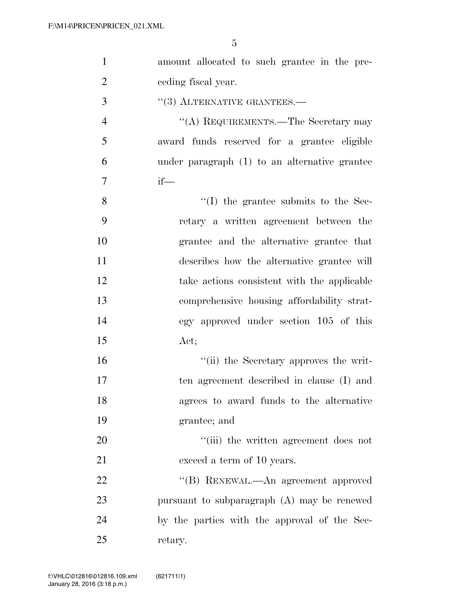| $\mathbf{1}$   | amount allocated to such grantee in the pre-  |
|----------------|-----------------------------------------------|
| $\overline{2}$ | ceding fiscal year.                           |
| 3              | $\cdot$ (3) ALTERNATIVE GRANTEES.—            |
| $\overline{4}$ | "(A) REQUIREMENTS.—The Secretary may          |
| 5              | award funds reserved for a grantee eligible   |
| 6              | under paragraph (1) to an alternative grantee |
| 7              | $if$ —                                        |
| 8              | $\cdot$ (I) the grantee submits to the Sec-   |
| 9              | retary a written agreement between the        |
| 10             | grantee and the alternative grantee that      |
| 11             | describes how the alternative grantee will    |
| 12             | take actions consistent with the applicable   |
| 13             | comprehensive housing affordability strat-    |
| 14             | egy approved under section 105 of this        |
| 15             | Act;                                          |
| 16             | "(ii) the Secretary approves the writ-        |
| 17             | ten agreement described in clause (I) and     |
| 18             | agrees to award funds to the alternative      |
| 19             | grantee; and                                  |
| 20             | "(iii) the written agreement does not         |
| 21             | exceed a term of 10 years.                    |
| 22             | "(B) RENEWAL.—An agreement approved           |
| 23             | pursuant to subparagraph $(A)$ may be renewed |
| 24             | by the parties with the approval of the Sec-  |
| $25\,$         | retary.                                       |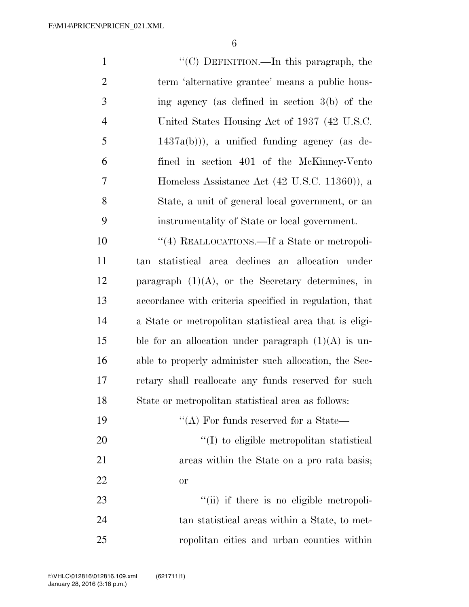''(C) DEFINITION.—In this paragraph, the term 'alternative grantee' means a public hous- ing agency (as defined in section 3(b) of the United States Housing Act of 1937 (42 U.S.C. 1437a(b)), a unified funding agency (as de- fined in section 401 of the McKinney-Vento Homeless Assistance Act (42 U.S.C. 11360)), a State, a unit of general local government, or an instrumentality of State or local government.  $\frac{1}{4}$  REALLOCATIONS. If a State or metropoli-

 tan statistical area declines an allocation under 12 paragraph  $(1)(A)$ , or the Secretary determines, in accordance with criteria specified in regulation, that a State or metropolitan statistical area that is eligi-15 ble for an allocation under paragraph  $(1)(A)$  is un- able to properly administer such allocation, the Sec- retary shall reallocate any funds reserved for such State or metropolitan statistical area as follows:

| 19 | $\lq\lq$ (A) For funds reserved for a State—  |
|----|-----------------------------------------------|
| 20 | $\lq(1)$ to eligible metropolitan statistical |
| 21 | areas within the State on a pro rata basis;   |
| 22 | $\alpha$                                      |
| 23 | "(ii) if there is no eligible metropoli-      |

 tan statistical areas within a State, to met-ropolitan cities and urban counties within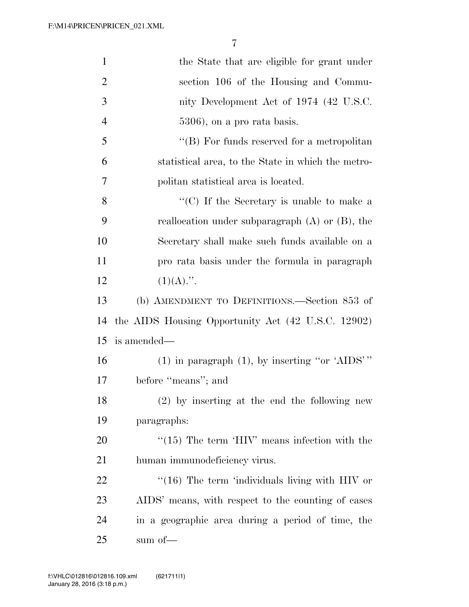| $\mathbf{1}$   | the State that are eligible for grant under                     |
|----------------|-----------------------------------------------------------------|
| $\overline{2}$ | section 106 of the Housing and Commu-                           |
| 3              | nity Development Act of 1974 (42 U.S.C.                         |
| $\overline{4}$ | $5306$ , on a pro rata basis.                                   |
| 5              | $\lq\lq (B)$ For funds reserved for a metropolitan              |
| 6              | statistical area, to the State in which the metro-              |
| 7              | politan statistical area is located.                            |
| 8              | $\lq\lq$ <sup>"</sup> (C) If the Secretary is unable to make a  |
| 9              | reallocation under subparagraph $(A)$ or $(B)$ , the            |
| 10             | Secretary shall make such funds available on a                  |
| 11             | pro rata basis under the formula in paragraph                   |
| 12             | $(1)(A)$ .".                                                    |
| 13             | (b) AMENDMENT TO DEFINITIONS.—Section 853 of                    |
| 14             | the AIDS Housing Opportunity Act (42 U.S.C. 12902)              |
| 15             | is amended—                                                     |
| 16             | $(1)$ in paragraph $(1)$ , by inserting "or 'AIDS'"             |
| 17             | before "means"; and                                             |
| 18             | (2) by inserting at the end the following new                   |
| 19             | paragraphs:                                                     |
| 20             | $\cdot\cdot(15)$ The term $\cdot$ HIV' means infection with the |
| 21             | human immunodeficiency virus.                                   |
| 22             | $\cdot$ (16) The term 'individuals living with HIV or           |
| 23             | AIDS' means, with respect to the counting of cases              |
| 24             | in a geographic area during a period of time, the               |
| 25             | sum of—                                                         |